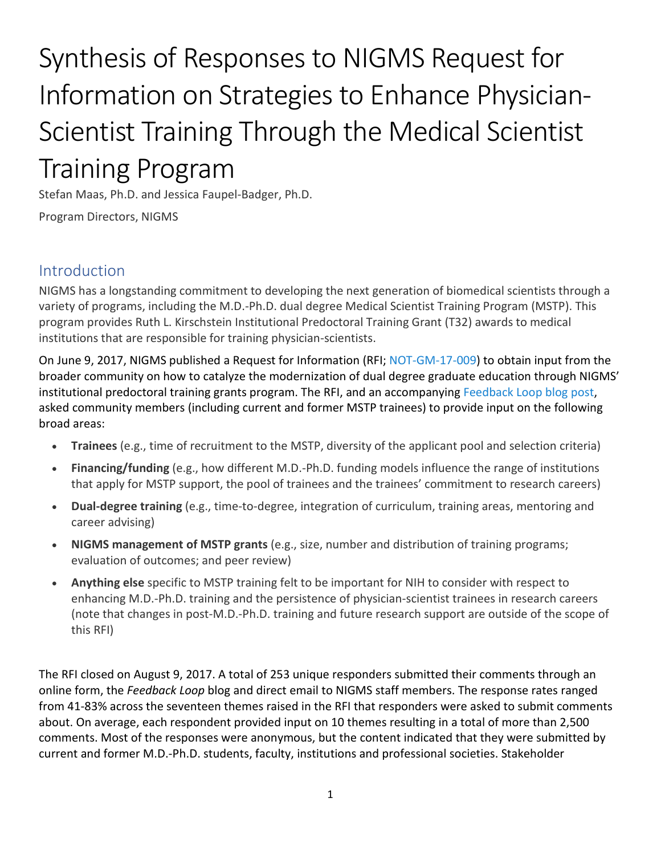# Synthesis of Responses to NIGMS Request for Information on Strategies to Enhance Physician-Scientist Training Through the Medical Scientist Training Program

Stefan Maas, Ph.D. and Jessica Faupel-Badger, Ph.D.

Program Directors, NIGMS

# Introduction

NIGMS has a longstanding commitment to developing the next generation of biomedical scientists through a variety of programs, including the M.D.-Ph.D. dual degree Medical Scientist Training Program (MSTP). This program provides Ruth L. Kirschstein Institutional Predoctoral Training Grant (T32) awards to medical institutions that are responsible for training physician-scientists.

On June 9, 2017, NIGMS published a Request for Information (RFI; [NOT-GM-17-009\)](https://grants.nih.gov/grants/guide/notice-files/NOT-GM-17-009.html) to obtain input from the broader community on how to catalyze the modernization of dual degree graduate education through NIGMS' institutional predoctoral training grants program. The RFI, and an accompanying [Feedback Loop blog post,](https://loop.nigms.nih.gov/2017/06/give-input-on-strategies-to-enhance-physician-scientist-training-through-the-medical-scientist-training-program/) asked community members (including current and former MSTP trainees) to provide input on the following broad areas:

- **Trainees** (e.g., time of recruitment to the MSTP, diversity of the applicant pool and selection criteria)
- **Financing/funding** (e.g., how different M.D.-Ph.D. funding models influence the range of institutions that apply for MSTP support, the pool of trainees and the trainees' commitment to research careers)
- **Dual-degree training** (e.g., time-to-degree, integration of curriculum, training areas, mentoring and career advising)
- **NIGMS management of MSTP grants** (e.g., size, number and distribution of training programs; evaluation of outcomes; and peer review)
- **Anything else** specific to MSTP training felt to be important for NIH to consider with respect to enhancing M.D.-Ph.D. training and the persistence of physician-scientist trainees in research careers (note that changes in post-M.D.-Ph.D. training and future research support are outside of the scope of this RFI)

The RFI closed on August 9, 2017. A total of 253 unique responders submitted their comments through an online form, the *Feedback Loop* blog and direct email to NIGMS staff members. The response rates ranged from 41-83% across the seventeen themes raised in the RFI that responders were asked to submit comments about. On average, each respondent provided input on 10 themes resulting in a total of more than 2,500 comments. Most of the responses were anonymous, but the content indicated that they were submitted by current and former M.D.-Ph.D. students, faculty, institutions and professional societies. Stakeholder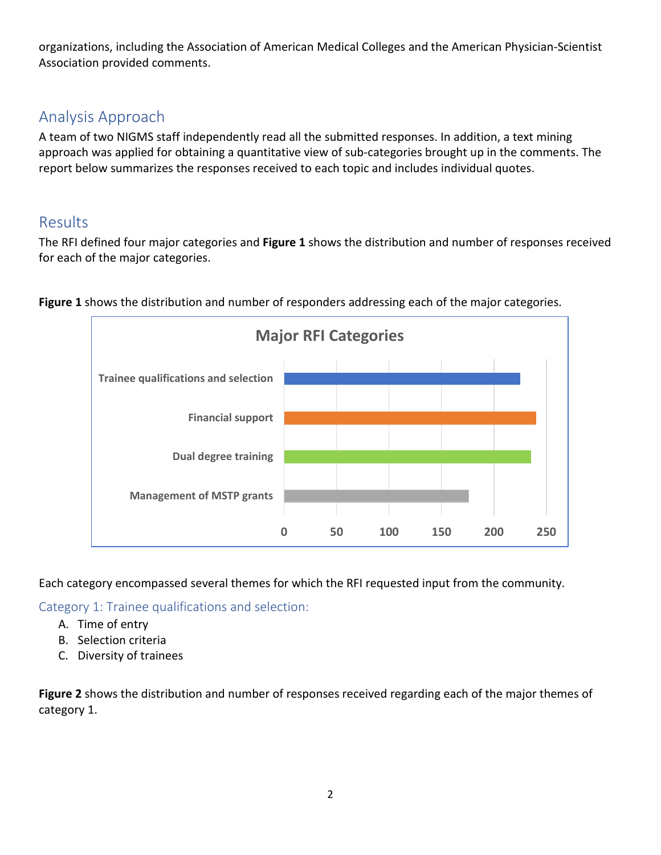organizations, including the Association of American Medical Colleges and the American Physician-Scientist Association provided comments.

# Analysis Approach

A team of two NIGMS staff independently read all the submitted responses. In addition, a text mining approach was applied for obtaining a quantitative view of sub-categories brought up in the comments. The report below summarizes the responses received to each topic and includes individual quotes.

# Results

The RFI defined four major categories and **Figure 1** shows the distribution and number of responses received for each of the major categories.



**Figure 1** shows the distribution and number of responders addressing each of the major categories.

Each category encompassed several themes for which the RFI requested input from the community.

Category 1: Trainee qualifications and selection:

- A. Time of entry
- B. Selection criteria
- C. Diversity of trainees

**Figure 2** shows the distribution and number of responses received regarding each of the major themes of category 1.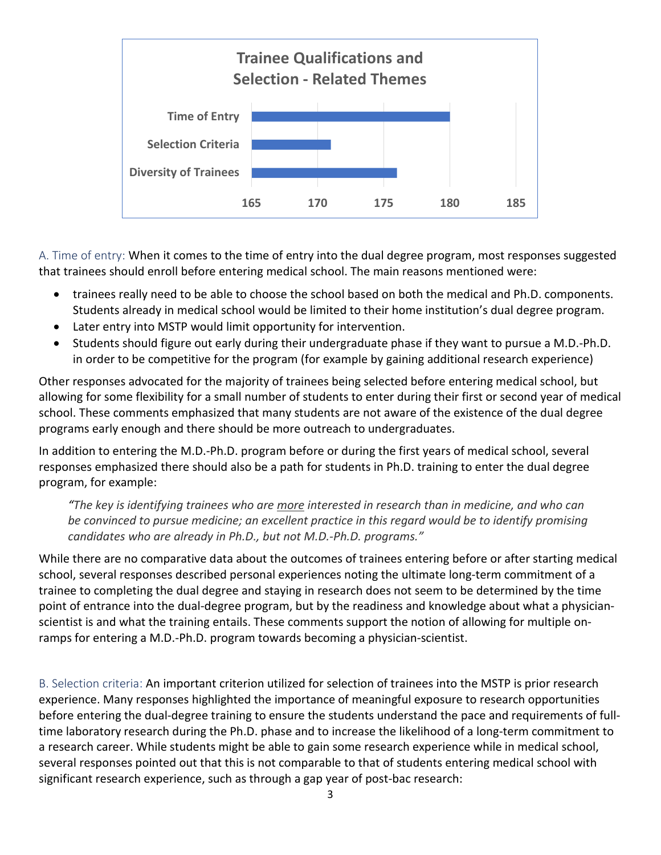

A. Time of entry: When it comes to the time of entry into the dual degree program, most responses suggested that trainees should enroll before entering medical school. The main reasons mentioned were:

- trainees really need to be able to choose the school based on both the medical and Ph.D. components. Students already in medical school would be limited to their home institution's dual degree program.
- Later entry into MSTP would limit opportunity for intervention.
- Students should figure out early during their undergraduate phase if they want to pursue a M.D.-Ph.D. in order to be competitive for the program (for example by gaining additional research experience)

Other responses advocated for the majority of trainees being selected before entering medical school, but allowing for some flexibility for a small number of students to enter during their first or second year of medical school. These comments emphasized that many students are not aware of the existence of the dual degree programs early enough and there should be more outreach to undergraduates.

In addition to entering the M.D.-Ph.D. program before or during the first years of medical school, several responses emphasized there should also be a path for students in Ph.D. training to enter the dual degree program, for example:

*"The key is identifying trainees who are more interested in research than in medicine, and who can be convinced to pursue medicine; an excellent practice in this regard would be to identify promising candidates who are already in Ph.D., but not M.D.-Ph.D. programs."*

While there are no comparative data about the outcomes of trainees entering before or after starting medical school, several responses described personal experiences noting the ultimate long-term commitment of a trainee to completing the dual degree and staying in research does not seem to be determined by the time point of entrance into the dual-degree program, but by the readiness and knowledge about what a physicianscientist is and what the training entails. These comments support the notion of allowing for multiple onramps for entering a M.D.-Ph.D. program towards becoming a physician-scientist.

B. Selection criteria: An important criterion utilized for selection of trainees into the MSTP is prior research experience. Many responses highlighted the importance of meaningful exposure to research opportunities before entering the dual-degree training to ensure the students understand the pace and requirements of fulltime laboratory research during the Ph.D. phase and to increase the likelihood of a long-term commitment to a research career. While students might be able to gain some research experience while in medical school, several responses pointed out that this is not comparable to that of students entering medical school with significant research experience, such as through a gap year of post-bac research: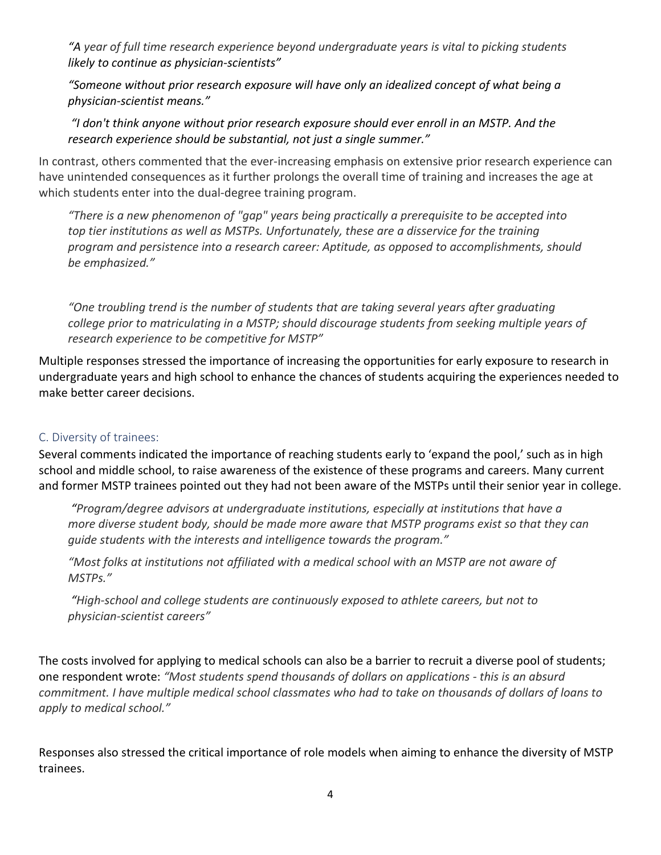*"A year of full time research experience beyond undergraduate years is vital to picking students likely to continue as physician-scientists"*

*"Someone without prior research exposure will have only an idealized concept of what being a physician-scientist means."*

*"I don't think anyone without prior research exposure should ever enroll in an MSTP. And the research experience should be substantial, not just a single summer."*

In contrast, others commented that the ever-increasing emphasis on extensive prior research experience can have unintended consequences as it further prolongs the overall time of training and increases the age at which students enter into the dual-degree training program.

*"There is a new phenomenon of "gap" years being practically a prerequisite to be accepted into top tier institutions as well as MSTPs. Unfortunately, these are a disservice for the training program and persistence into a research career: Aptitude, as opposed to accomplishments, should be emphasized."*

*"One troubling trend is the number of students that are taking several years after graduating college prior to matriculating in a MSTP; should discourage students from seeking multiple years of research experience to be competitive for MSTP"*

Multiple responses stressed the importance of increasing the opportunities for early exposure to research in undergraduate years and high school to enhance the chances of students acquiring the experiences needed to make better career decisions.

#### C. Diversity of trainees:

Several comments indicated the importance of reaching students early to 'expand the pool,' such as in high school and middle school, to raise awareness of the existence of these programs and careers. Many current and former MSTP trainees pointed out they had not been aware of the MSTPs until their senior year in college.

*"Program/degree advisors at undergraduate institutions, especially at institutions that have a more diverse student body, should be made more aware that MSTP programs exist so that they can guide students with the interests and intelligence towards the program."*

*"Most folks at institutions not affiliated with a medical school with an MSTP are not aware of MSTPs."*

*"High-school and college students are continuously exposed to athlete careers, but not to physician-scientist careers"*

The costs involved for applying to medical schools can also be a barrier to recruit a diverse pool of students; one respondent wrote: *"Most students spend thousands of dollars on applications - this is an absurd commitment. I have multiple medical school classmates who had to take on thousands of dollars of loans to apply to medical school."*

Responses also stressed the critical importance of role models when aiming to enhance the diversity of MSTP trainees.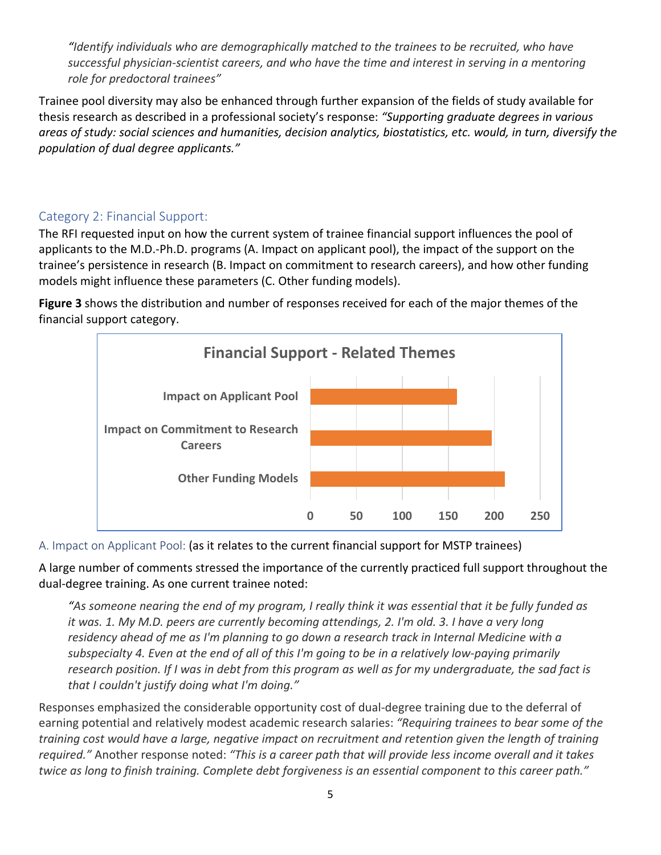*"Identify individuals who are demographically matched to the trainees to be recruited, who have*  successful physician-scientist careers, and who have the time and interest in serving in a mentoring *role for predoctoral trainees"*

Trainee pool diversity may also be enhanced through further expansion of the fields of study available for thesis research as described in a professional society's response: *"Supporting graduate degrees in various areas of study: social sciences and humanities, decision analytics, biostatistics, etc. would, in turn, diversify the population of dual degree applicants."*

# Category 2: Financial Support:

The RFI requested input on how the current system of trainee financial support influences the pool of applicants to the M.D.-Ph.D. programs (A. Impact on applicant pool), the impact of the support on the trainee's persistence in research (B. Impact on commitment to research careers), and how other funding models might influence these parameters (C. Other funding models).

**Figure 3** shows the distribution and number of responses received for each of the major themes of the financial support category.



A. Impact on Applicant Pool: (as it relates to the current financial support for MSTP trainees)

A large number of comments stressed the importance of the currently practiced full support throughout the dual-degree training. As one current trainee noted:

*"As someone nearing the end of my program, I really think it was essential that it be fully funded as it was. 1. My M.D. peers are currently becoming attendings, 2. I'm old. 3. I have a very long residency ahead of me as I'm planning to go down a research track in Internal Medicine with a subspecialty 4. Even at the end of all of this I'm going to be in a relatively low-paying primarily research position. If I was in debt from this program as well as for my undergraduate, the sad fact is that I couldn't justify doing what I'm doing."*

Responses emphasized the considerable opportunity cost of dual-degree training due to the deferral of earning potential and relatively modest academic research salaries: *"Requiring trainees to bear some of the training cost would have a large, negative impact on recruitment and retention given the length of training required."* Another response noted: *"This is a career path that will provide less income overall and it takes twice as long to finish training. Complete debt forgiveness is an essential component to this career path."*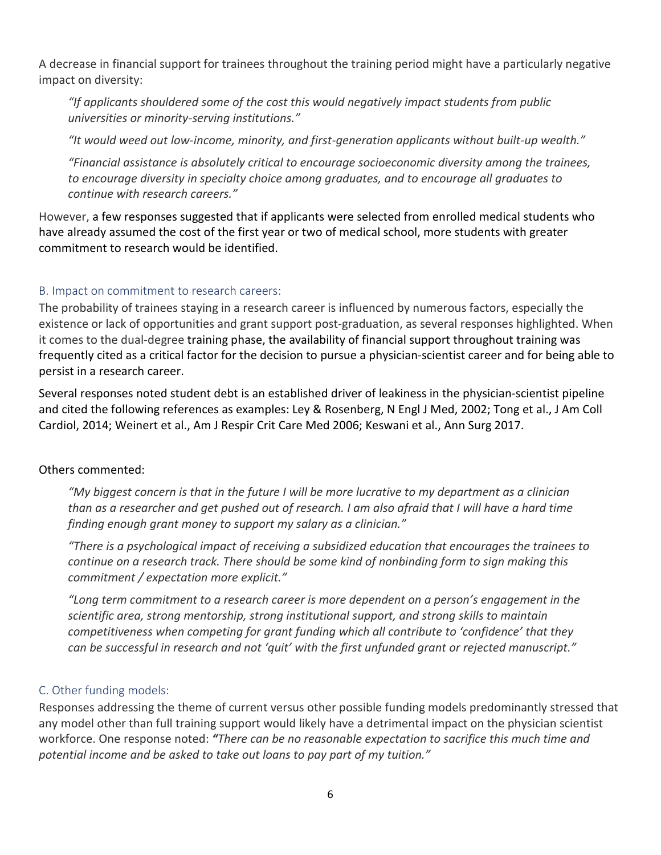A decrease in financial support for trainees throughout the training period might have a particularly negative impact on diversity:

*"If applicants shouldered some of the cost this would negatively impact students from public universities or minority-serving institutions."*

*"It would weed out low-income, minority, and first-generation applicants without built-up wealth."*

*"Financial assistance is absolutely critical to encourage socioeconomic diversity among the trainees, to encourage diversity in specialty choice among graduates, and to encourage all graduates to continue with research careers."*

However, a few responses suggested that if applicants were selected from enrolled medical students who have already assumed the cost of the first year or two of medical school, more students with greater commitment to research would be identified.

# B. Impact on commitment to research careers:

The probability of trainees staying in a research career is influenced by numerous factors, especially the existence or lack of opportunities and grant support post-graduation, as several responses highlighted. When it comes to the dual-degree training phase, the availability of financial support throughout training was frequently cited as a critical factor for the decision to pursue a physician-scientist career and for being able to persist in a research career.

Several responses noted student debt is an established driver of leakiness in the physician-scientist pipeline and cited the following references as examples: Ley & Rosenberg, N Engl J Med, 2002; Tong et al., J Am Coll Cardiol, 2014; Weinert et al., Am J Respir Crit Care Med 2006; Keswani et al., Ann Surg 2017.

#### Others commented:

*"My biggest concern is that in the future I will be more lucrative to my department as a clinician than as a researcher and get pushed out of research. I am also afraid that I will have a hard time finding enough grant money to support my salary as a clinician."*

*"There is a psychological impact of receiving a subsidized education that encourages the trainees to continue on a research track. There should be some kind of nonbinding form to sign making this commitment / expectation more explicit."*

*"Long term commitment to a research career is more dependent on a person's engagement in the scientific area, strong mentorship, strong institutional support, and strong skills to maintain competitiveness when competing for grant funding which all contribute to 'confidence' that they can be successful in research and not 'quit' with the first unfunded grant or rejected manuscript."*

# C. Other funding models:

Responses addressing the theme of current versus other possible funding models predominantly stressed that any model other than full training support would likely have a detrimental impact on the physician scientist workforce. One response noted: *"There can be no reasonable expectation to sacrifice this much time and potential income and be asked to take out loans to pay part of my tuition."*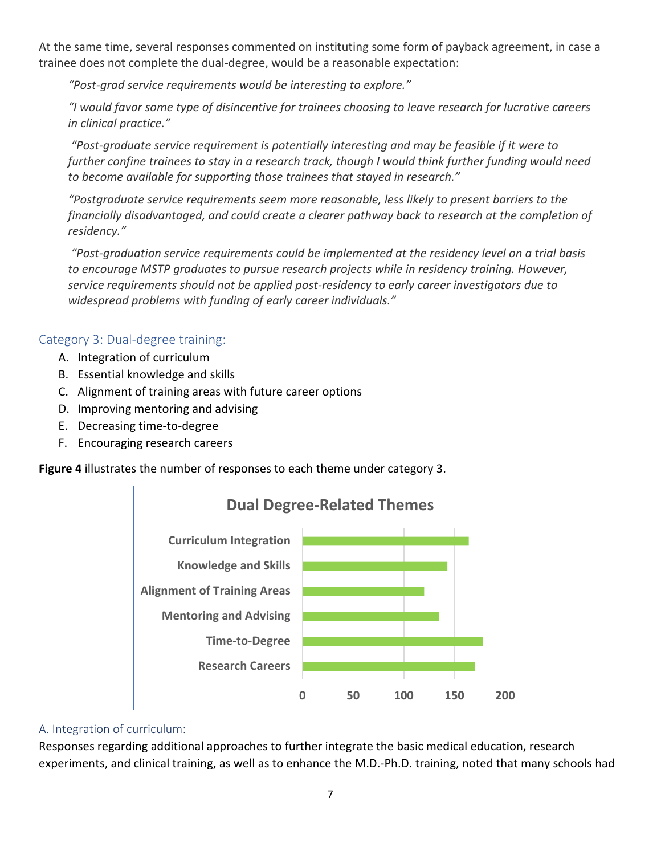At the same time, several responses commented on instituting some form of payback agreement, in case a trainee does not complete the dual-degree, would be a reasonable expectation:

*"Post-grad service requirements would be interesting to explore."*

*"I would favor some type of disincentive for trainees choosing to leave research for lucrative careers in clinical practice."*

*"Post-graduate service requirement is potentially interesting and may be feasible if it were to further confine trainees to stay in a research track, though I would think further funding would need to become available for supporting those trainees that stayed in research."*

*"Postgraduate service requirements seem more reasonable, less likely to present barriers to the financially disadvantaged, and could create a clearer pathway back to research at the completion of residency."*

*"Post-graduation service requirements could be implemented at the residency level on a trial basis to encourage MSTP graduates to pursue research projects while in residency training. However, service requirements should not be applied post-residency to early career investigators due to widespread problems with funding of early career individuals."*

# Category 3: Dual-degree training:

- A. Integration of curriculum
- B. Essential knowledge and skills
- C. Alignment of training areas with future career options
- D. Improving mentoring and advising
- E. Decreasing time-to-degree
- F. Encouraging research careers

**Figure 4** illustrates the number of responses to each theme under category 3.



#### A. Integration of curriculum:

Responses regarding additional approaches to further integrate the basic medical education, research experiments, and clinical training, as well as to enhance the M.D.-Ph.D. training, noted that many schools had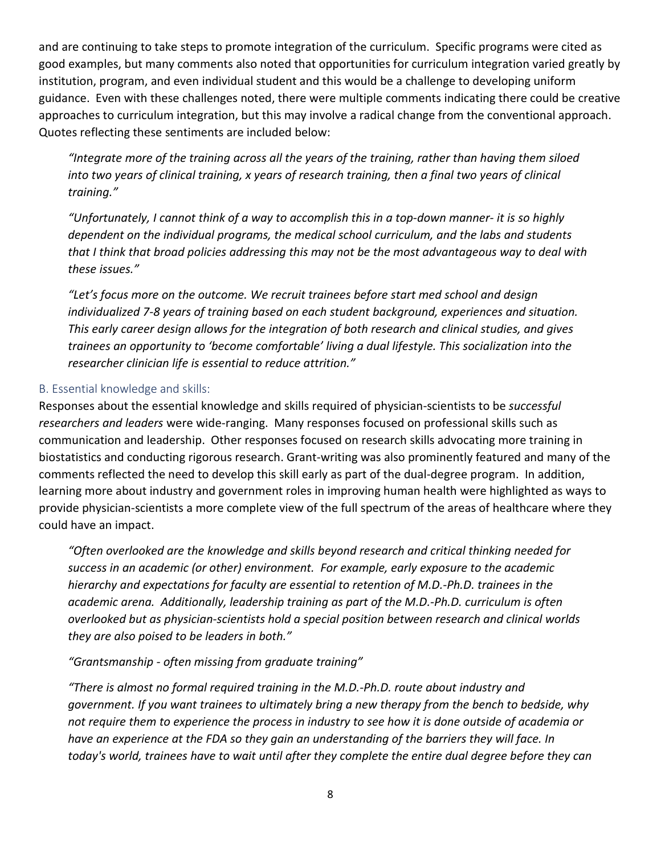and are continuing to take steps to promote integration of the curriculum. Specific programs were cited as good examples, but many comments also noted that opportunities for curriculum integration varied greatly by institution, program, and even individual student and this would be a challenge to developing uniform guidance. Even with these challenges noted, there were multiple comments indicating there could be creative approaches to curriculum integration, but this may involve a radical change from the conventional approach. Quotes reflecting these sentiments are included below:

*"Integrate more of the training across all the years of the training, rather than having them siloed into two years of clinical training, x years of research training, then a final two years of clinical training."*

*"Unfortunately, I cannot think of a way to accomplish this in a top-down manner- it is so highly dependent on the individual programs, the medical school curriculum, and the labs and students that I think that broad policies addressing this may not be the most advantageous way to deal with these issues."*

*"Let's focus more on the outcome. We recruit trainees before start med school and design individualized 7-8 years of training based on each student background, experiences and situation. This early career design allows for the integration of both research and clinical studies, and gives trainees an opportunity to 'become comfortable' living a dual lifestyle. This socialization into the researcher clinician life is essential to reduce attrition."*

#### B. Essential knowledge and skills:

Responses about the essential knowledge and skills required of physician-scientists to be *successful researchers and leaders* were wide-ranging. Many responses focused on professional skills such as communication and leadership. Other responses focused on research skills advocating more training in biostatistics and conducting rigorous research. Grant-writing was also prominently featured and many of the comments reflected the need to develop this skill early as part of the dual-degree program. In addition, learning more about industry and government roles in improving human health were highlighted as ways to provide physician-scientists a more complete view of the full spectrum of the areas of healthcare where they could have an impact.

*"Often overlooked are the knowledge and skills beyond research and critical thinking needed for success in an academic (or other) environment. For example, early exposure to the academic hierarchy and expectations for faculty are essential to retention of M.D.-Ph.D. trainees in the academic arena. Additionally, leadership training as part of the M.D.-Ph.D. curriculum is often overlooked but as physician-scientists hold a special position between research and clinical worlds they are also poised to be leaders in both."*

*"Grantsmanship - often missing from graduate training"*

*"There is almost no formal required training in the M.D.-Ph.D. route about industry and government. If you want trainees to ultimately bring a new therapy from the bench to bedside, why not require them to experience the process in industry to see how it is done outside of academia or have an experience at the FDA so they gain an understanding of the barriers they will face. In today's world, trainees have to wait until after they complete the entire dual degree before they can*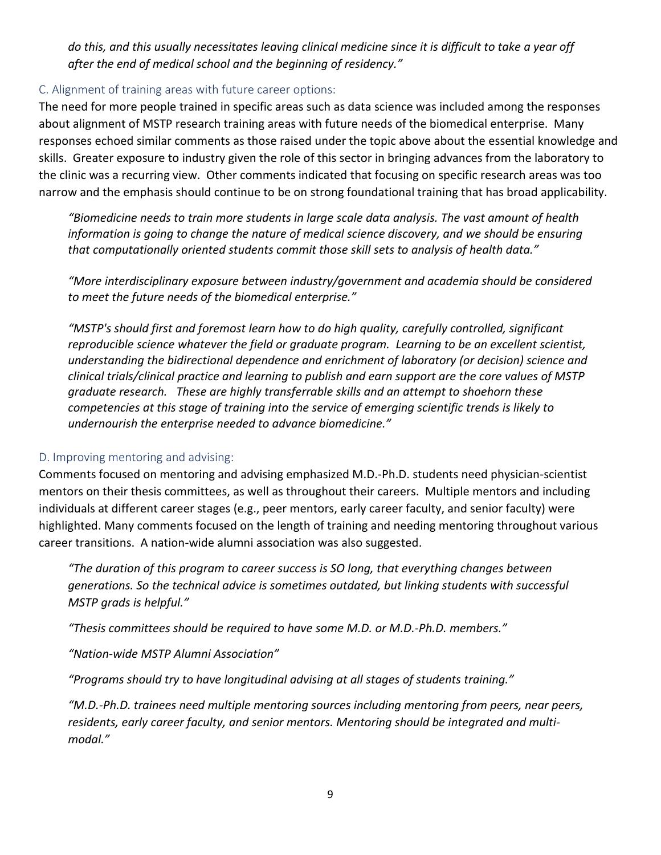*do this, and this usually necessitates leaving clinical medicine since it is difficult to take a year off after the end of medical school and the beginning of residency."*

#### C. Alignment of training areas with future career options:

The need for more people trained in specific areas such as data science was included among the responses about alignment of MSTP research training areas with future needs of the biomedical enterprise. Many responses echoed similar comments as those raised under the topic above about the essential knowledge and skills. Greater exposure to industry given the role of this sector in bringing advances from the laboratory to the clinic was a recurring view. Other comments indicated that focusing on specific research areas was too narrow and the emphasis should continue to be on strong foundational training that has broad applicability.

*"Biomedicine needs to train more students in large scale data analysis. The vast amount of health information is going to change the nature of medical science discovery, and we should be ensuring that computationally oriented students commit those skill sets to analysis of health data."*

*"More interdisciplinary exposure between industry/government and academia should be considered to meet the future needs of the biomedical enterprise."*

*"MSTP's should first and foremost learn how to do high quality, carefully controlled, significant reproducible science whatever the field or graduate program. Learning to be an excellent scientist, understanding the bidirectional dependence and enrichment of laboratory (or decision) science and clinical trials/clinical practice and learning to publish and earn support are the core values of MSTP graduate research. These are highly transferrable skills and an attempt to shoehorn these competencies at this stage of training into the service of emerging scientific trends is likely to undernourish the enterprise needed to advance biomedicine."*

#### D. Improving mentoring and advising:

Comments focused on mentoring and advising emphasized M.D.-Ph.D. students need physician-scientist mentors on their thesis committees, as well as throughout their careers. Multiple mentors and including individuals at different career stages (e.g., peer mentors, early career faculty, and senior faculty) were highlighted. Many comments focused on the length of training and needing mentoring throughout various career transitions. A nation-wide alumni association was also suggested.

*"The duration of this program to career success is SO long, that everything changes between generations. So the technical advice is sometimes outdated, but linking students with successful MSTP grads is helpful."*

*"Thesis committees should be required to have some M.D. or M.D.-Ph.D. members."* 

*"Nation-wide MSTP Alumni Association"*

*"Programs should try to have longitudinal advising at all stages of students training."*

*"M.D.-Ph.D. trainees need multiple mentoring sources including mentoring from peers, near peers, residents, early career faculty, and senior mentors. Mentoring should be integrated and multimodal."*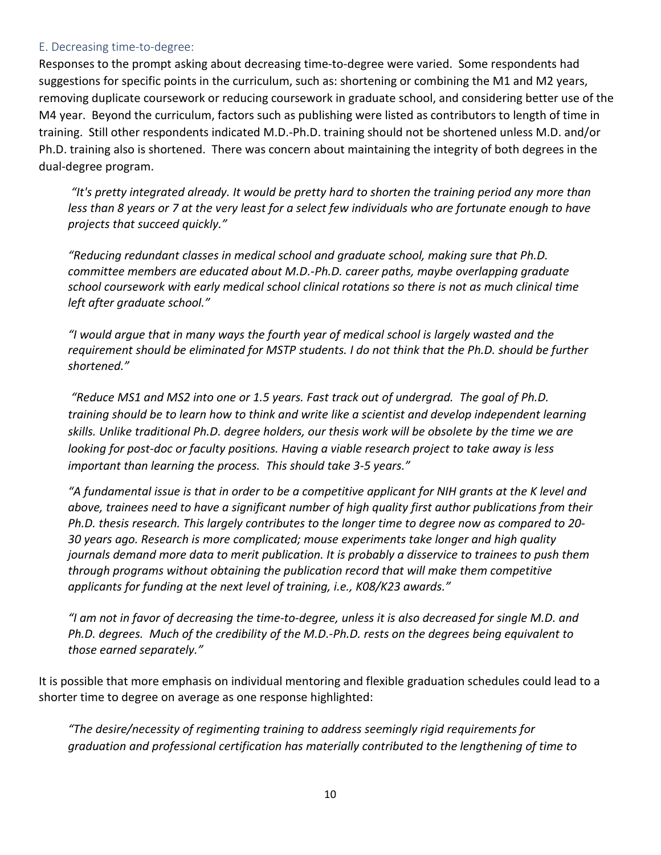#### E. Decreasing time-to-degree:

Responses to the prompt asking about decreasing time-to-degree were varied. Some respondents had suggestions for specific points in the curriculum, such as: shortening or combining the M1 and M2 years, removing duplicate coursework or reducing coursework in graduate school, and considering better use of the M4 year. Beyond the curriculum, factors such as publishing were listed as contributors to length of time in training. Still other respondents indicated M.D.-Ph.D. training should not be shortened unless M.D. and/or Ph.D. training also is shortened. There was concern about maintaining the integrity of both degrees in the dual-degree program.

*"It's pretty integrated already. It would be pretty hard to shorten the training period any more than less than 8 years or 7 at the very least for a select few individuals who are fortunate enough to have projects that succeed quickly."*

*"Reducing redundant classes in medical school and graduate school, making sure that Ph.D. committee members are educated about M.D.-Ph.D. career paths, maybe overlapping graduate school coursework with early medical school clinical rotations so there is not as much clinical time left after graduate school."*

*"I would argue that in many ways the fourth year of medical school is largely wasted and the requirement should be eliminated for MSTP students. I do not think that the Ph.D. should be further shortened."*

*"Reduce MS1 and MS2 into one or 1.5 years. Fast track out of undergrad. The goal of Ph.D. training should be to learn how to think and write like a scientist and develop independent learning skills. Unlike traditional Ph.D. degree holders, our thesis work will be obsolete by the time we are looking for post-doc or faculty positions. Having a viable research project to take away is less important than learning the process. This should take 3-5 years."*

*"A fundamental issue is that in order to be a competitive applicant for NIH grants at the K level and above, trainees need to have a significant number of high quality first author publications from their Ph.D. thesis research. This largely contributes to the longer time to degree now as compared to 20- 30 years ago. Research is more complicated; mouse experiments take longer and high quality journals demand more data to merit publication. It is probably a disservice to trainees to push them through programs without obtaining the publication record that will make them competitive applicants for funding at the next level of training, i.e., K08/K23 awards."* 

*"I am not in favor of decreasing the time-to-degree, unless it is also decreased for single M.D. and Ph.D. degrees. Much of the credibility of the M.D.-Ph.D. rests on the degrees being equivalent to those earned separately."*

It is possible that more emphasis on individual mentoring and flexible graduation schedules could lead to a shorter time to degree on average as one response highlighted:

*"The desire/necessity of regimenting training to address seemingly rigid requirements for graduation and professional certification has materially contributed to the lengthening of time to*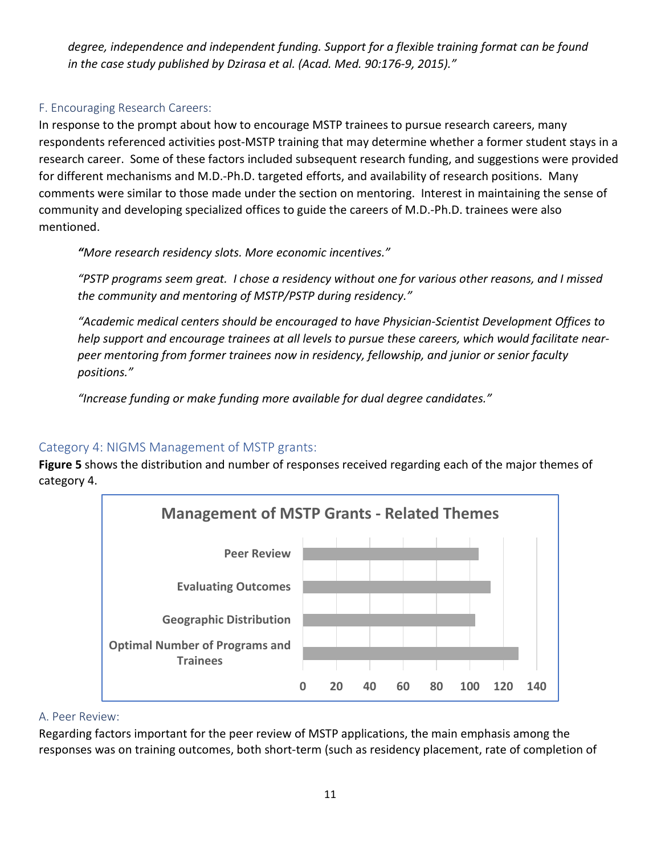*degree, independence and independent funding. Support for a flexible training format can be found in the case study published by Dzirasa et al. (Acad. Med. 90:176-9, 2015)."*

## F. Encouraging Research Careers:

In response to the prompt about how to encourage MSTP trainees to pursue research careers, many respondents referenced activities post-MSTP training that may determine whether a former student stays in a research career. Some of these factors included subsequent research funding, and suggestions were provided for different mechanisms and M.D.-Ph.D. targeted efforts, and availability of research positions. Many comments were similar to those made under the section on mentoring. Interest in maintaining the sense of community and developing specialized offices to guide the careers of M.D.-Ph.D. trainees were also mentioned.

*"More research residency slots. More economic incentives."*

*"PSTP programs seem great. I chose a residency without one for various other reasons, and I missed the community and mentoring of MSTP/PSTP during residency."*

*"Academic medical centers should be encouraged to have Physician-Scientist Development Offices to help support and encourage trainees at all levels to pursue these careers, which would facilitate nearpeer mentoring from former trainees now in residency, fellowship, and junior or senior faculty positions."*

*"Increase funding or make funding more available for dual degree candidates."*

# Category 4: NIGMS Management of MSTP grants:

**Figure 5** shows the distribution and number of responses received regarding each of the major themes of category 4.



#### A. Peer Review:

Regarding factors important for the peer review of MSTP applications, the main emphasis among the responses was on training outcomes, both short-term (such as residency placement, rate of completion of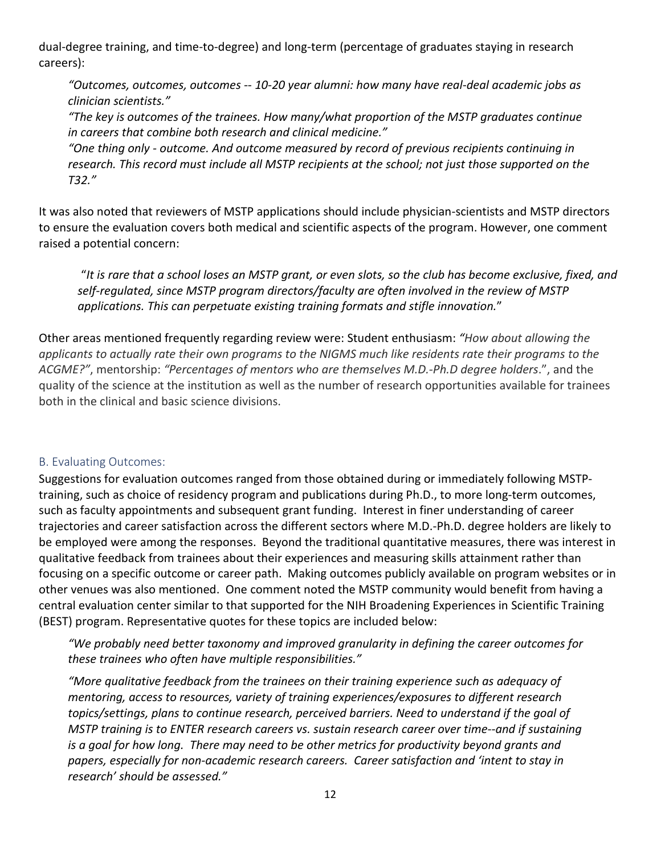dual-degree training, and time-to-degree) and long-term (percentage of graduates staying in research careers):

*"Outcomes, outcomes, outcomes -- 10-20 year alumni: how many have real-deal academic jobs as clinician scientists."*

*"The key is outcomes of the trainees. How many/what proportion of the MSTP graduates continue in careers that combine both research and clinical medicine."*

*"One thing only - outcome. And outcome measured by record of previous recipients continuing in research. This record must include all MSTP recipients at the school; not just those supported on the T32."*

It was also noted that reviewers of MSTP applications should include physician-scientists and MSTP directors to ensure the evaluation covers both medical and scientific aspects of the program. However, one comment raised a potential concern:

"*It is rare that a school loses an MSTP grant, or even slots, so the club has become exclusive, fixed, and self-regulated, since MSTP program directors/faculty are often involved in the review of MSTP applications. This can perpetuate existing training formats and stifle innovation.*"

Other areas mentioned frequently regarding review were: Student enthusiasm: *"How about allowing the applicants to actually rate their own programs to the NIGMS much like residents rate their programs to the ACGME?"*, mentorship: *"Percentages of mentors who are themselves M.D.-Ph.D degree holders*.", and the quality of the science at the institution as well as the number of research opportunities available for trainees both in the clinical and basic science divisions.

#### B. Evaluating Outcomes:

Suggestions for evaluation outcomes ranged from those obtained during or immediately following MSTPtraining, such as choice of residency program and publications during Ph.D., to more long-term outcomes, such as faculty appointments and subsequent grant funding. Interest in finer understanding of career trajectories and career satisfaction across the different sectors where M.D.-Ph.D. degree holders are likely to be employed were among the responses. Beyond the traditional quantitative measures, there was interest in qualitative feedback from trainees about their experiences and measuring skills attainment rather than focusing on a specific outcome or career path. Making outcomes publicly available on program websites or in other venues was also mentioned. One comment noted the MSTP community would benefit from having a central evaluation center similar to that supported for the NIH Broadening Experiences in Scientific Training (BEST) program. Representative quotes for these topics are included below:

*"We probably need better taxonomy and improved granularity in defining the career outcomes for these trainees who often have multiple responsibilities."*

*"More qualitative feedback from the trainees on their training experience such as adequacy of mentoring, access to resources, variety of training experiences/exposures to different research topics/settings, plans to continue research, perceived barriers. Need to understand if the goal of MSTP training is to ENTER research careers vs. sustain research career over time--and if sustaining is a goal for how long. There may need to be other metrics for productivity beyond grants and papers, especially for non-academic research careers. Career satisfaction and 'intent to stay in research' should be assessed."*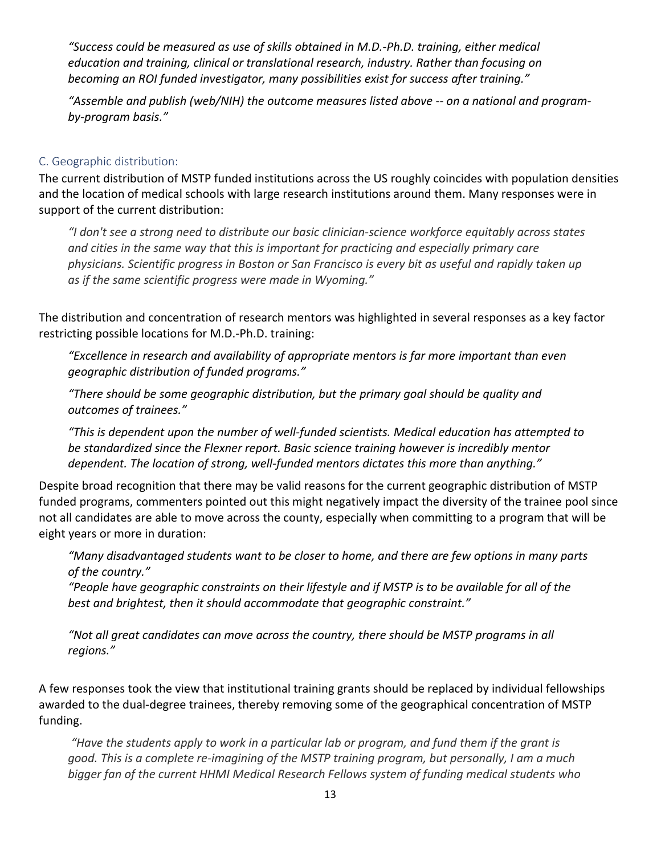*"Success could be measured as use of skills obtained in M.D.-Ph.D. training, either medical education and training, clinical or translational research, industry. Rather than focusing on becoming an ROI funded investigator, many possibilities exist for success after training."*

*"Assemble and publish (web/NIH) the outcome measures listed above -- on a national and programby-program basis."*

#### C. Geographic distribution:

The current distribution of MSTP funded institutions across the US roughly coincides with population densities and the location of medical schools with large research institutions around them. Many responses were in support of the current distribution:

*"I don't see a strong need to distribute our basic clinician-science workforce equitably across states and cities in the same way that this is important for practicing and especially primary care physicians. Scientific progress in Boston or San Francisco is every bit as useful and rapidly taken up as if the same scientific progress were made in Wyoming."*

The distribution and concentration of research mentors was highlighted in several responses as a key factor restricting possible locations for M.D.-Ph.D. training:

*"Excellence in research and availability of appropriate mentors is far more important than even geographic distribution of funded programs."*

*"There should be some geographic distribution, but the primary goal should be quality and outcomes of trainees."*

*"This is dependent upon the number of well-funded scientists. Medical education has attempted to be standardized since the Flexner report. Basic science training however is incredibly mentor dependent. The location of strong, well-funded mentors dictates this more than anything."*

Despite broad recognition that there may be valid reasons for the current geographic distribution of MSTP funded programs, commenters pointed out this might negatively impact the diversity of the trainee pool since not all candidates are able to move across the county, especially when committing to a program that will be eight years or more in duration:

*"Many disadvantaged students want to be closer to home, and there are few options in many parts of the country."*

*"People have geographic constraints on their lifestyle and if MSTP is to be available for all of the best and brightest, then it should accommodate that geographic constraint."*

*"Not all great candidates can move across the country, there should be MSTP programs in all regions."*

A few responses took the view that institutional training grants should be replaced by individual fellowships awarded to the dual-degree trainees, thereby removing some of the geographical concentration of MSTP funding.

*"Have the students apply to work in a particular lab or program, and fund them if the grant is good. This is a complete re-imagining of the MSTP training program, but personally, I am a much bigger fan of the current HHMI Medical Research Fellows system of funding medical students who*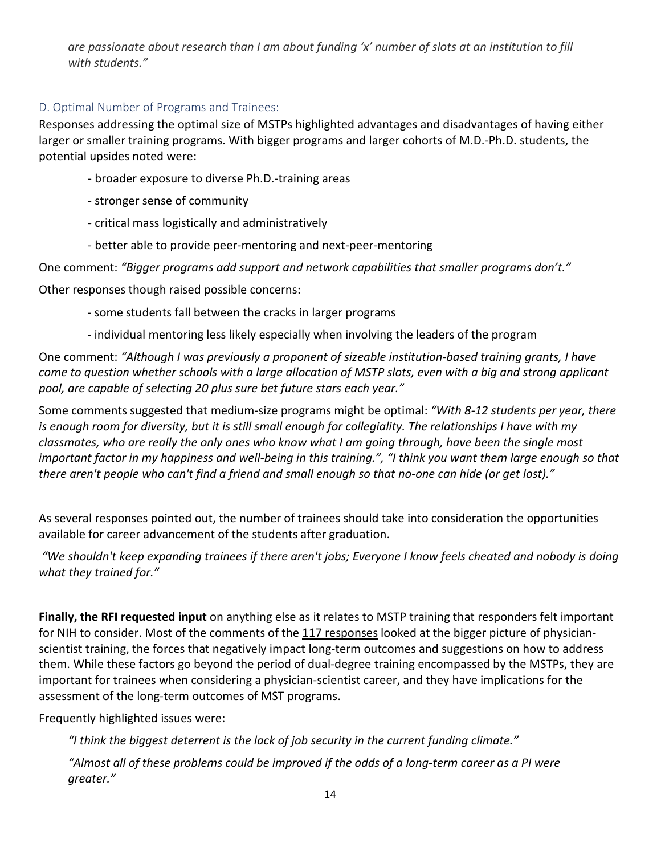*are passionate about research than I am about funding 'x' number of slots at an institution to fill with students."*

## D. Optimal Number of Programs and Trainees:

Responses addressing the optimal size of MSTPs highlighted advantages and disadvantages of having either larger or smaller training programs. With bigger programs and larger cohorts of M.D.-Ph.D. students, the potential upsides noted were:

- broader exposure to diverse Ph.D.-training areas
- stronger sense of community
- critical mass logistically and administratively
- better able to provide peer-mentoring and next-peer-mentoring

One comment: *"Bigger programs add support and network capabilities that smaller programs don't."*

Other responses though raised possible concerns:

- some students fall between the cracks in larger programs
- individual mentoring less likely especially when involving the leaders of the program

One comment: *"Although I was previously a proponent of sizeable institution-based training grants, I have come to question whether schools with a large allocation of MSTP slots, even with a big and strong applicant pool, are capable of selecting 20 plus sure bet future stars each year."*

Some comments suggested that medium-size programs might be optimal: *"With 8-12 students per year, there is enough room for diversity, but it is still small enough for collegiality. The relationships I have with my classmates, who are really the only ones who know what I am going through, have been the single most important factor in my happiness and well-being in this training.", "I think you want them large enough so that there aren't people who can't find a friend and small enough so that no-one can hide (or get lost)."*

As several responses pointed out, the number of trainees should take into consideration the opportunities available for career advancement of the students after graduation.

*"We shouldn't keep expanding trainees if there aren't jobs; Everyone I know feels cheated and nobody is doing what they trained for."*

**Finally, the RFI requested input** on anything else as it relates to MSTP training that responders felt important for NIH to consider. Most of the comments of the 117 responses looked at the bigger picture of physicianscientist training, the forces that negatively impact long-term outcomes and suggestions on how to address them. While these factors go beyond the period of dual-degree training encompassed by the MSTPs, they are important for trainees when considering a physician-scientist career, and they have implications for the assessment of the long-term outcomes of MST programs.

Frequently highlighted issues were:

*"I think the biggest deterrent is the lack of job security in the current funding climate."*

*"Almost all of these problems could be improved if the odds of a long-term career as a PI were greater."*